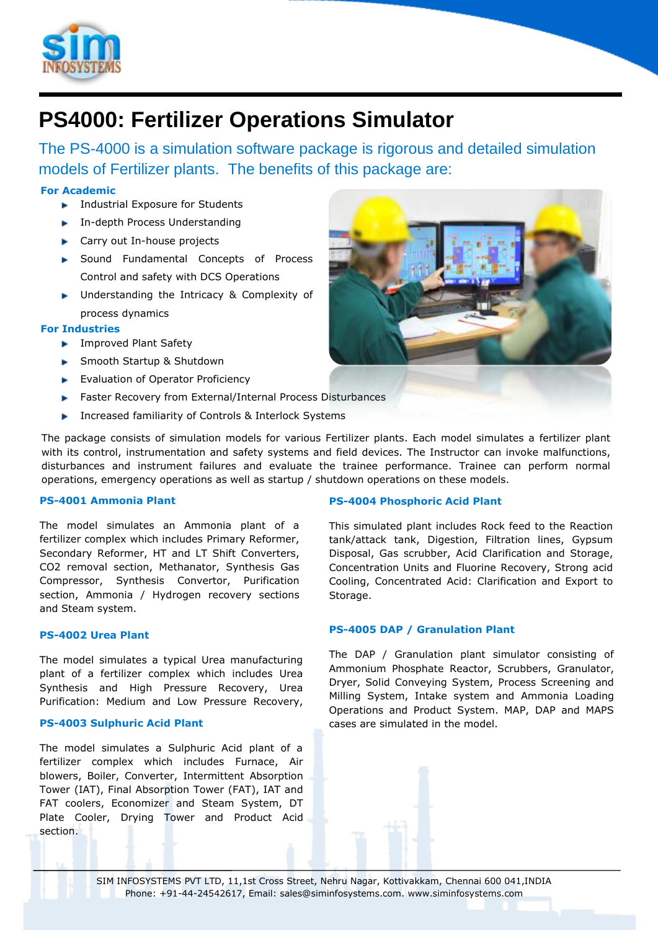

# **PS4000: Fertilizer Operations Simulator**

The PS-4000 is a simulation software package is rigorous and detailed simulation models of Fertilizer plants. The benefits of this package are:

## **For Academic**

- **Industrial Exposure for Students**
- **In-depth Process Understanding**
- ► Carry out In-house projects
- **Sound Fundamental Concepts of Process** Control and safety with DCS Operations
- **Inderstanding the Intricacy & Complexity of** process dynamics

### **For Industries**

- **Improved Plant Safety**
- **Smooth Startup & Shutdown**
- **Evaluation of Operator Proficiency**
- **Faster Recovery from External/Internal Process Disturbances**
- **Increased familiarity of Controls & Interlock Systems**

The package consists of simulation models for various Fertilizer plants. Each model simulates a fertilizer plant with its control, instrumentation and safety systems and field devices. The Instructor can invoke malfunctions, disturbances and instrument failures and evaluate the trainee performance. Trainee can perform normal operations, emergency operations as well as startup / shutdown operations on these models.

### **PS-4001 Ammonia Plant**

The model simulates an Ammonia plant of a fertilizer complex which includes Primary Reformer, Secondary Reformer, HT and LT Shift Converters, CO2 removal section, Methanator, Synthesis Gas Compressor, Synthesis Convertor, Purification section, Ammonia / Hydrogen recovery sections and Steam system.

### **PS-4002 Urea Plant**

The model simulates a typical Urea manufacturing plant of a fertilizer complex which includes Urea Synthesis and High Pressure Recovery, Urea Purification: Medium and Low Pressure Recovery,

# **PS-4003 Sulphuric Acid Plant**

The model simulates a Sulphuric Acid plant of a fertilizer complex which includes Furnace, Air blowers, Boiler, Converter, Intermittent Absorption Tower (IAT), Final Absorption Tower (FAT), IAT and FAT coolers, Economizer and Steam System, DT Plate Cooler, Drying Tower and Product Acid section.

### **PS-4004 Phosphoric Acid Plant**

This simulated plant includes Rock feed to the Reaction tank/attack tank, Digestion, Filtration lines, Gypsum Disposal, Gas scrubber, Acid Clarification and Storage, Concentration Units and Fluorine Recovery, Strong acid Cooling, Concentrated Acid: Clarification and Export to Storage.

### **PS-4005 DAP / Granulation Plant**

The DAP / Granulation plant simulator consisting of Ammonium Phosphate Reactor, Scrubbers, Granulator, Dryer, Solid Conveying System, Process Screening and Milling System, Intake system and Ammonia Loading Operations and Product System. MAP, DAP and MAPS cases are simulated in the model.